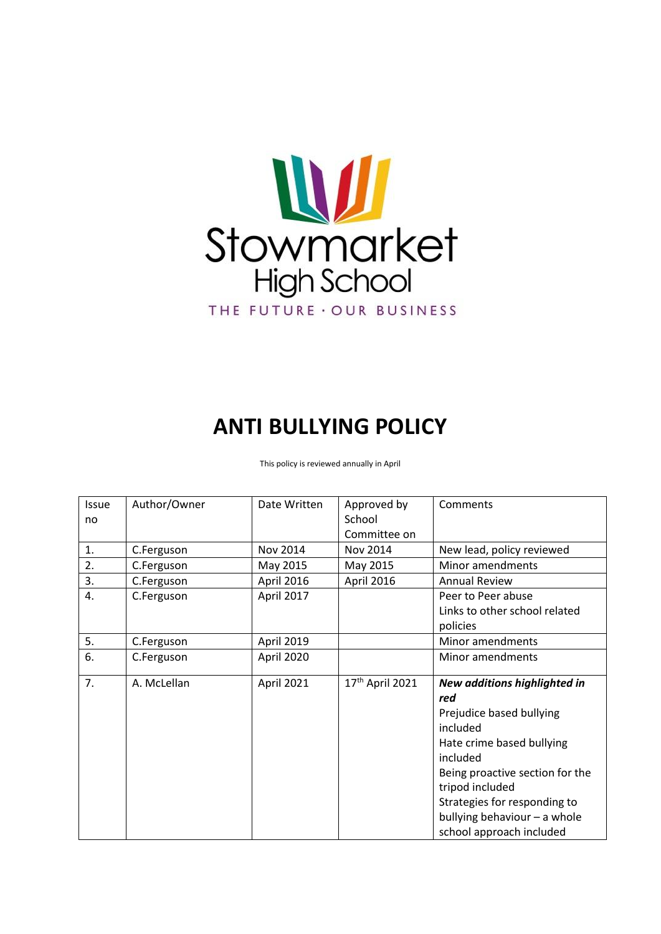

# **ANTI BULLYING POLICY**

This policy is reviewed annually in April

| Issue | Author/Owner | Date Written | Approved by                 | Comments                        |
|-------|--------------|--------------|-----------------------------|---------------------------------|
| no    |              |              | School                      |                                 |
|       |              |              | Committee on                |                                 |
| 1.    | C.Ferguson   | Nov 2014     | Nov 2014                    | New lead, policy reviewed       |
| 2.    | C.Ferguson   | May 2015     | May 2015                    | Minor amendments                |
| 3.    | C.Ferguson   | April 2016   | April 2016                  | <b>Annual Review</b>            |
| 4.    | C.Ferguson   | April 2017   |                             | Peer to Peer abuse              |
|       |              |              |                             | Links to other school related   |
|       |              |              |                             | policies                        |
| 5.    | C.Ferguson   | April 2019   |                             | Minor amendments                |
| 6.    | C.Ferguson   | April 2020   |                             | Minor amendments                |
|       |              |              |                             |                                 |
| 7.    | A. McLellan  | April 2021   | 17 <sup>th</sup> April 2021 | New additions highlighted in    |
|       |              |              |                             | red                             |
|       |              |              |                             | Prejudice based bullying        |
|       |              |              |                             | included                        |
|       |              |              |                             | Hate crime based bullying       |
|       |              |              |                             | included                        |
|       |              |              |                             | Being proactive section for the |
|       |              |              |                             | tripod included                 |
|       |              |              |                             | Strategies for responding to    |
|       |              |              |                             | bullying behaviour - a whole    |
|       |              |              |                             | school approach included        |
|       |              |              |                             |                                 |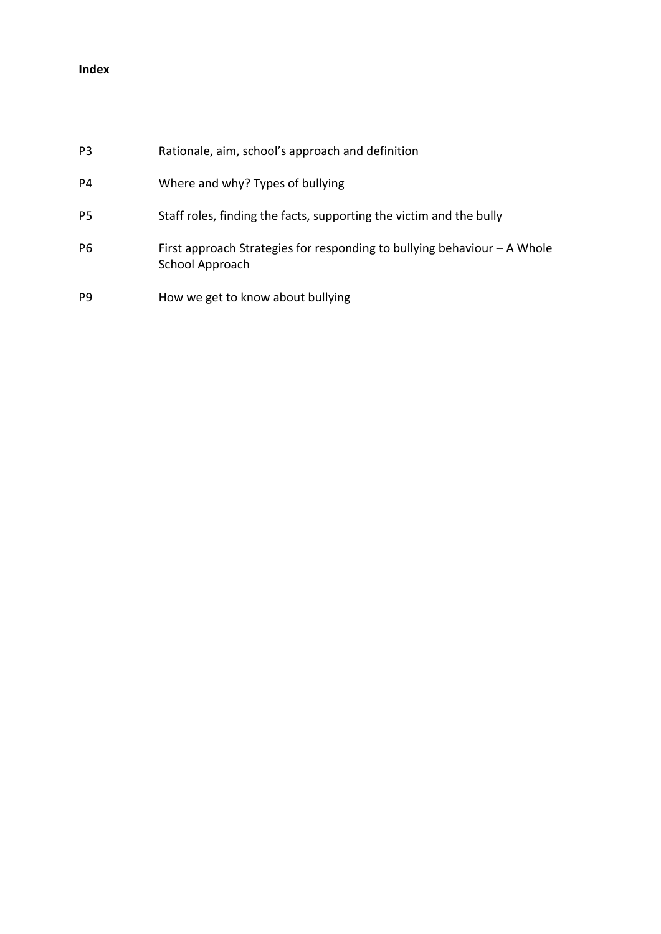# **Index**

| P <sub>3</sub> | Rationale, aim, school's approach and definition                                              |
|----------------|-----------------------------------------------------------------------------------------------|
| P4             | Where and why? Types of bullying                                                              |
| P5             | Staff roles, finding the facts, supporting the victim and the bully                           |
| P <sub>6</sub> | First approach Strategies for responding to bullying behaviour $-$ A Whole<br>School Approach |
| P <sub>9</sub> | How we get to know about bullying                                                             |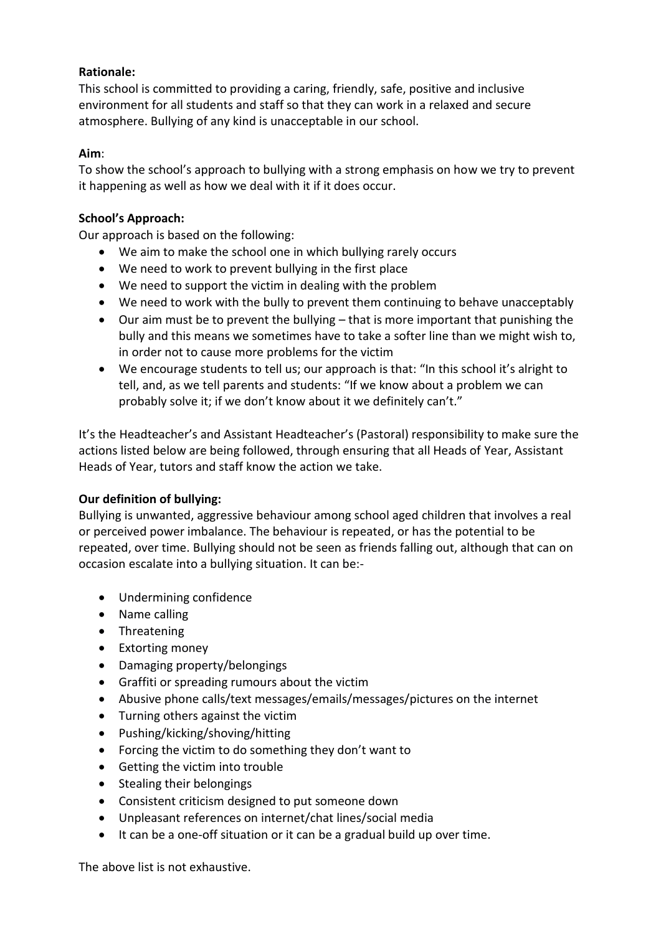# **Rationale:**

This school is committed to providing a caring, friendly, safe, positive and inclusive environment for all students and staff so that they can work in a relaxed and secure atmosphere. Bullying of any kind is unacceptable in our school.

# **Aim**:

To show the school's approach to bullying with a strong emphasis on how we try to prevent it happening as well as how we deal with it if it does occur.

#### **School's Approach:**

Our approach is based on the following:

- We aim to make the school one in which bullying rarely occurs
- We need to work to prevent bullying in the first place
- We need to support the victim in dealing with the problem
- We need to work with the bully to prevent them continuing to behave unacceptably
- Our aim must be to prevent the bullying that is more important that punishing the bully and this means we sometimes have to take a softer line than we might wish to, in order not to cause more problems for the victim
- We encourage students to tell us; our approach is that: "In this school it's alright to tell, and, as we tell parents and students: "If we know about a problem we can probably solve it; if we don't know about it we definitely can't."

It's the Headteacher's and Assistant Headteacher's (Pastoral) responsibility to make sure the actions listed below are being followed, through ensuring that all Heads of Year, Assistant Heads of Year, tutors and staff know the action we take.

# **Our definition of bullying:**

Bullying is unwanted, aggressive behaviour among school aged children that involves a real or perceived power imbalance. The behaviour is repeated, or has the potential to be repeated, over time. Bullying should not be seen as friends falling out, although that can on occasion escalate into a bullying situation. It can be:-

- Undermining confidence
- Name calling
- Threatening
- Extorting money
- Damaging property/belongings
- Graffiti or spreading rumours about the victim
- Abusive phone calls/text messages/emails/messages/pictures on the internet
- Turning others against the victim
- Pushing/kicking/shoving/hitting
- Forcing the victim to do something they don't want to
- Getting the victim into trouble
- Stealing their belongings
- Consistent criticism designed to put someone down
- Unpleasant references on internet/chat lines/social media
- It can be a one-off situation or it can be a gradual build up over time.

The above list is not exhaustive.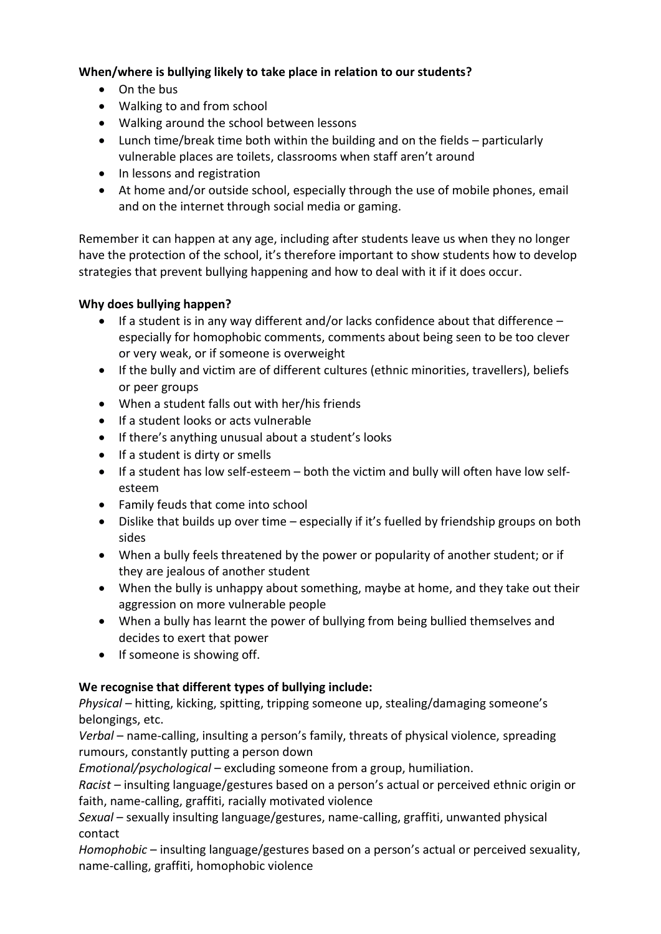# **When/where is bullying likely to take place in relation to our students?**

- On the bus
- Walking to and from school
- Walking around the school between lessons
- Lunch time/break time both within the building and on the fields particularly vulnerable places are toilets, classrooms when staff aren't around
- In lessons and registration
- At home and/or outside school, especially through the use of mobile phones, email and on the internet through social media or gaming.

Remember it can happen at any age, including after students leave us when they no longer have the protection of the school, it's therefore important to show students how to develop strategies that prevent bullying happening and how to deal with it if it does occur.

# **Why does bullying happen?**

- $\bullet$  If a student is in any way different and/or lacks confidence about that difference especially for homophobic comments, comments about being seen to be too clever or very weak, or if someone is overweight
- If the bully and victim are of different cultures (ethnic minorities, travellers), beliefs or peer groups
- When a student falls out with her/his friends
- $\bullet$  If a student looks or acts vulnerable
- If there's anything unusual about a student's looks
- If a student is dirty or smells
- If a student has low self-esteem both the victim and bully will often have low selfesteem
- Family feuds that come into school
- Dislike that builds up over time especially if it's fuelled by friendship groups on both sides
- When a bully feels threatened by the power or popularity of another student; or if they are jealous of another student
- When the bully is unhappy about something, maybe at home, and they take out their aggression on more vulnerable people
- When a bully has learnt the power of bullying from being bullied themselves and decides to exert that power
- If someone is showing off.

# **We recognise that different types of bullying include:**

*Physical* – hitting, kicking, spitting, tripping someone up, stealing/damaging someone's belongings, etc.

*Verbal* – name-calling, insulting a person's family, threats of physical violence, spreading rumours, constantly putting a person down

*Emotional/psychological* – excluding someone from a group, humiliation.

*Racist* – insulting language/gestures based on a person's actual or perceived ethnic origin or faith, name-calling, graffiti, racially motivated violence

*Sexual* – sexually insulting language/gestures, name-calling, graffiti, unwanted physical contact

*Homophobic* – insulting language/gestures based on a person's actual or perceived sexuality, name-calling, graffiti, homophobic violence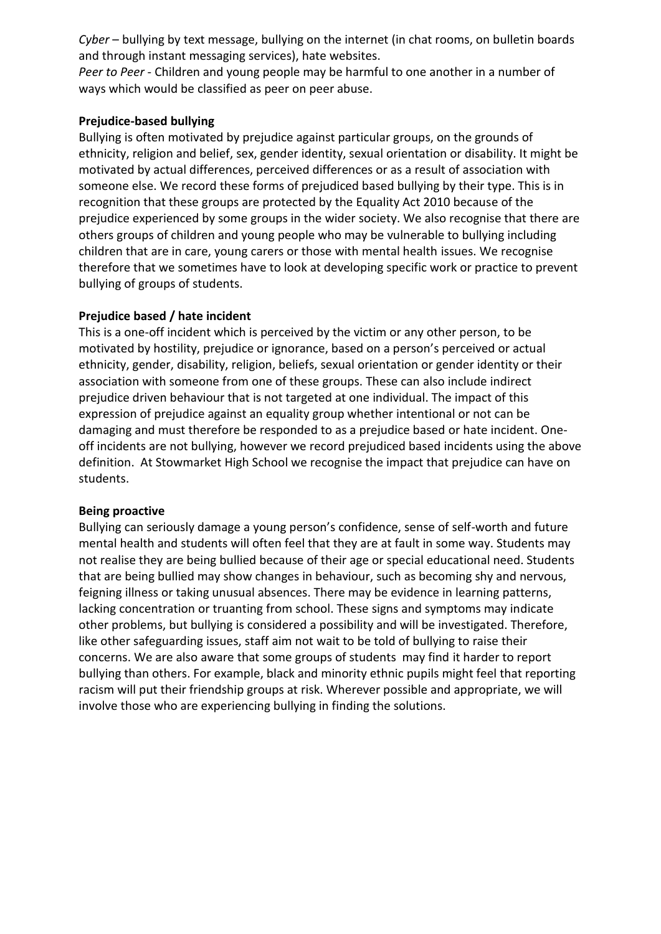*Cyber* – bullying by text message, bullying on the internet (in chat rooms, on bulletin boards and through instant messaging services), hate websites.

*Peer to Peer* - Children and young people may be harmful to one another in a number of ways which would be classified as peer on peer abuse.

#### **Prejudice-based bullying**

Bullying is often motivated by prejudice against particular groups, on the grounds of ethnicity, religion and belief, sex, gender identity, sexual orientation or disability. It might be motivated by actual differences, perceived differences or as a result of association with someone else. We record these forms of prejudiced based bullying by their type. This is in recognition that these groups are protected by the Equality Act 2010 because of the prejudice experienced by some groups in the wider society. We also recognise that there are others groups of children and young people who may be vulnerable to bullying including children that are in care, young carers or those with mental health issues. We recognise therefore that we sometimes have to look at developing specific work or practice to prevent bullying of groups of students.

#### **Prejudice based / hate incident**

This is a one-off incident which is perceived by the victim or any other person, to be motivated by hostility, prejudice or ignorance, based on a person's perceived or actual ethnicity, gender, disability, religion, beliefs, sexual orientation or gender identity or their association with someone from one of these groups. These can also include indirect prejudice driven behaviour that is not targeted at one individual. The impact of this expression of prejudice against an equality group whether intentional or not can be damaging and must therefore be responded to as a prejudice based or hate incident. Oneoff incidents are not bullying, however we record prejudiced based incidents using the above definition. At Stowmarket High School we recognise the impact that prejudice can have on students.

#### **Being proactive**

Bullying can seriously damage a young person's confidence, sense of self-worth and future mental health and students will often feel that they are at fault in some way. Students may not realise they are being bullied because of their age or special educational need. Students that are being bullied may show changes in behaviour, such as becoming shy and nervous, feigning illness or taking unusual absences. There may be evidence in learning patterns, lacking concentration or truanting from school. These signs and symptoms may indicate other problems, but bullying is considered a possibility and will be investigated. Therefore, like other safeguarding issues, staff aim not wait to be told of bullying to raise their concerns. We are also aware that some groups of students may find it harder to report bullying than others. For example, black and minority ethnic pupils might feel that reporting racism will put their friendship groups at risk. Wherever possible and appropriate, we will involve those who are experiencing bullying in finding the solutions.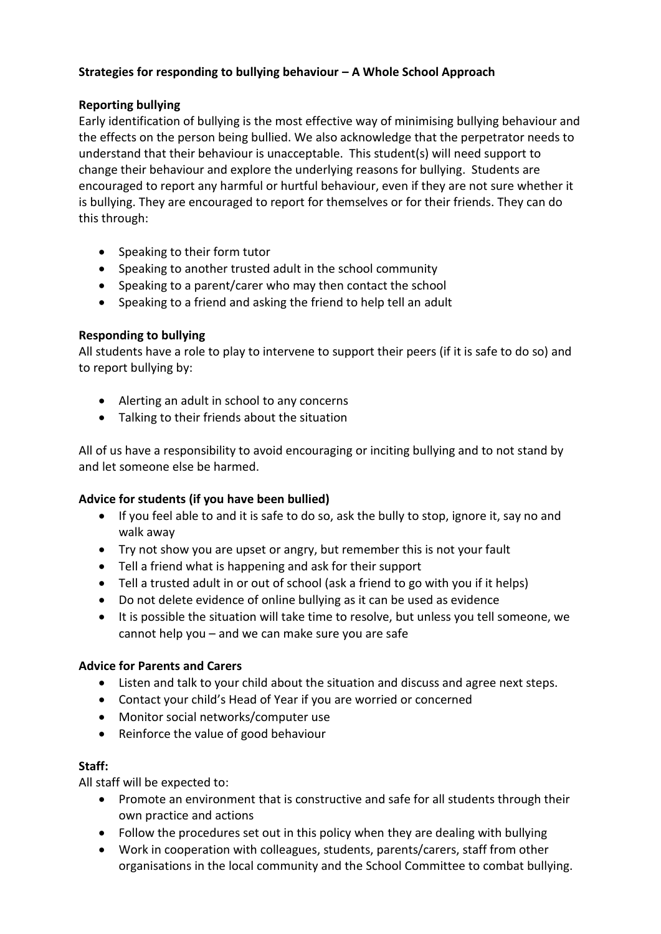# **Strategies for responding to bullying behaviour – A Whole School Approach**

# **Reporting bullying**

Early identification of bullying is the most effective way of minimising bullying behaviour and the effects on the person being bullied. We also acknowledge that the perpetrator needs to understand that their behaviour is unacceptable. This student(s) will need support to change their behaviour and explore the underlying reasons for bullying. Students are encouraged to report any harmful or hurtful behaviour, even if they are not sure whether it is bullying. They are encouraged to report for themselves or for their friends. They can do this through:

- Speaking to their form tutor
- Speaking to another trusted adult in the school community
- Speaking to a parent/carer who may then contact the school
- Speaking to a friend and asking the friend to help tell an adult

# **Responding to bullying**

All students have a role to play to intervene to support their peers (if it is safe to do so) and to report bullying by:

- Alerting an adult in school to any concerns
- Talking to their friends about the situation

All of us have a responsibility to avoid encouraging or inciting bullying and to not stand by and let someone else be harmed.

# **Advice for students (if you have been bullied)**

- If you feel able to and it is safe to do so, ask the bully to stop, ignore it, say no and walk away
- Try not show you are upset or angry, but remember this is not your fault
- Tell a friend what is happening and ask for their support
- Tell a trusted adult in or out of school (ask a friend to go with you if it helps)
- Do not delete evidence of online bullying as it can be used as evidence
- It is possible the situation will take time to resolve, but unless you tell someone, we cannot help you – and we can make sure you are safe

# **Advice for Parents and Carers**

- Listen and talk to your child about the situation and discuss and agree next steps.
- Contact your child's Head of Year if you are worried or concerned
- Monitor social networks/computer use
- Reinforce the value of good behaviour

# **Staff:**

All staff will be expected to:

- Promote an environment that is constructive and safe for all students through their own practice and actions
- Follow the procedures set out in this policy when they are dealing with bullying
- Work in cooperation with colleagues, students, parents/carers, staff from other organisations in the local community and the School Committee to combat bullying.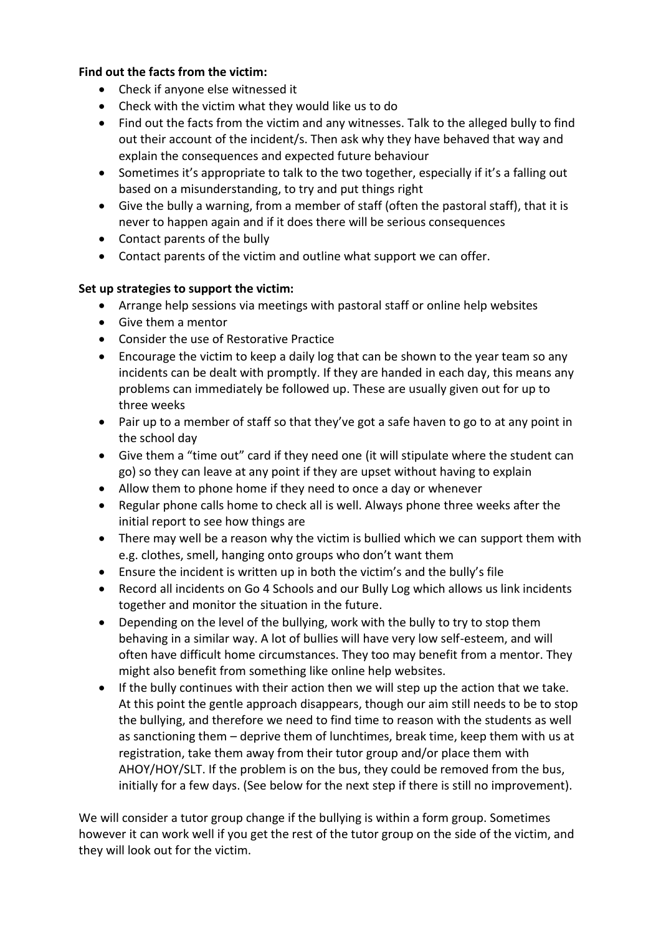# **Find out the facts from the victim:**

- Check if anyone else witnessed it
- Check with the victim what they would like us to do
- Find out the facts from the victim and any witnesses. Talk to the alleged bully to find out their account of the incident/s. Then ask why they have behaved that way and explain the consequences and expected future behaviour
- Sometimes it's appropriate to talk to the two together, especially if it's a falling out based on a misunderstanding, to try and put things right
- Give the bully a warning, from a member of staff (often the pastoral staff), that it is never to happen again and if it does there will be serious consequences
- Contact parents of the bully
- Contact parents of the victim and outline what support we can offer.

# **Set up strategies to support the victim:**

- Arrange help sessions via meetings with pastoral staff or online help websites
- Give them a mentor
- Consider the use of Restorative Practice
- Encourage the victim to keep a daily log that can be shown to the year team so any incidents can be dealt with promptly. If they are handed in each day, this means any problems can immediately be followed up. These are usually given out for up to three weeks
- Pair up to a member of staff so that they've got a safe haven to go to at any point in the school day
- Give them a "time out" card if they need one (it will stipulate where the student can go) so they can leave at any point if they are upset without having to explain
- Allow them to phone home if they need to once a day or whenever
- Regular phone calls home to check all is well. Always phone three weeks after the initial report to see how things are
- There may well be a reason why the victim is bullied which we can support them with e.g. clothes, smell, hanging onto groups who don't want them
- Ensure the incident is written up in both the victim's and the bully's file
- Record all incidents on Go 4 Schools and our Bully Log which allows us link incidents together and monitor the situation in the future.
- Depending on the level of the bullying, work with the bully to try to stop them behaving in a similar way. A lot of bullies will have very low self-esteem, and will often have difficult home circumstances. They too may benefit from a mentor. They might also benefit from something like online help websites.
- If the bully continues with their action then we will step up the action that we take. At this point the gentle approach disappears, though our aim still needs to be to stop the bullying, and therefore we need to find time to reason with the students as well as sanctioning them – deprive them of lunchtimes, break time, keep them with us at registration, take them away from their tutor group and/or place them with AHOY/HOY/SLT. If the problem is on the bus, they could be removed from the bus, initially for a few days. (See below for the next step if there is still no improvement).

We will consider a tutor group change if the bullying is within a form group. Sometimes however it can work well if you get the rest of the tutor group on the side of the victim, and they will look out for the victim.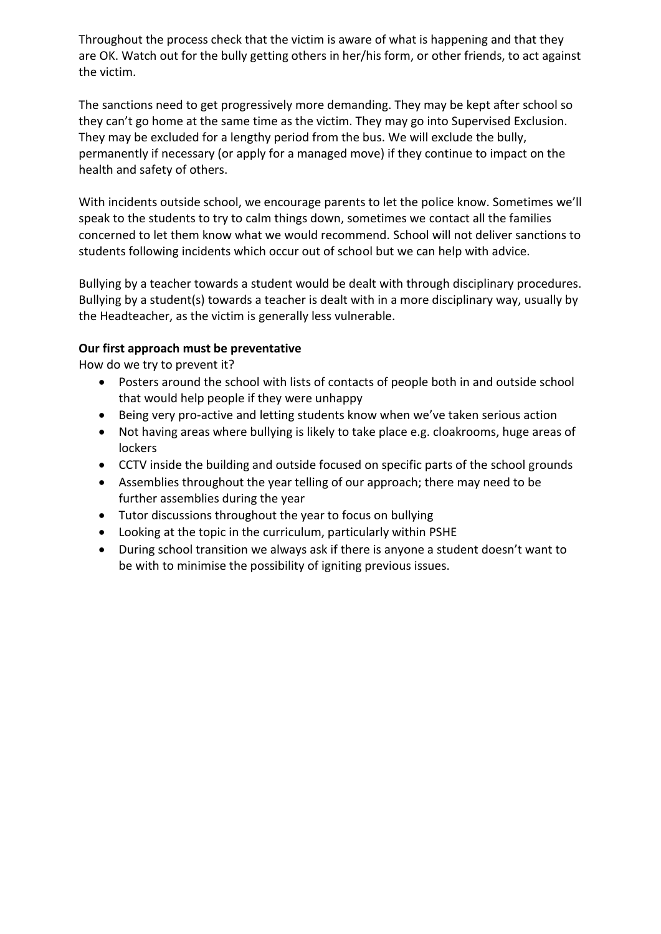Throughout the process check that the victim is aware of what is happening and that they are OK. Watch out for the bully getting others in her/his form, or other friends, to act against the victim.

The sanctions need to get progressively more demanding. They may be kept after school so they can't go home at the same time as the victim. They may go into Supervised Exclusion. They may be excluded for a lengthy period from the bus. We will exclude the bully, permanently if necessary (or apply for a managed move) if they continue to impact on the health and safety of others.

With incidents outside school, we encourage parents to let the police know. Sometimes we'll speak to the students to try to calm things down, sometimes we contact all the families concerned to let them know what we would recommend. School will not deliver sanctions to students following incidents which occur out of school but we can help with advice.

Bullying by a teacher towards a student would be dealt with through disciplinary procedures. Bullying by a student(s) towards a teacher is dealt with in a more disciplinary way, usually by the Headteacher, as the victim is generally less vulnerable.

# **Our first approach must be preventative**

How do we try to prevent it?

- Posters around the school with lists of contacts of people both in and outside school that would help people if they were unhappy
- Being very pro-active and letting students know when we've taken serious action
- Not having areas where bullying is likely to take place e.g. cloakrooms, huge areas of lockers
- CCTV inside the building and outside focused on specific parts of the school grounds
- Assemblies throughout the year telling of our approach; there may need to be further assemblies during the year
- Tutor discussions throughout the year to focus on bullying
- Looking at the topic in the curriculum, particularly within PSHE
- During school transition we always ask if there is anyone a student doesn't want to be with to minimise the possibility of igniting previous issues.